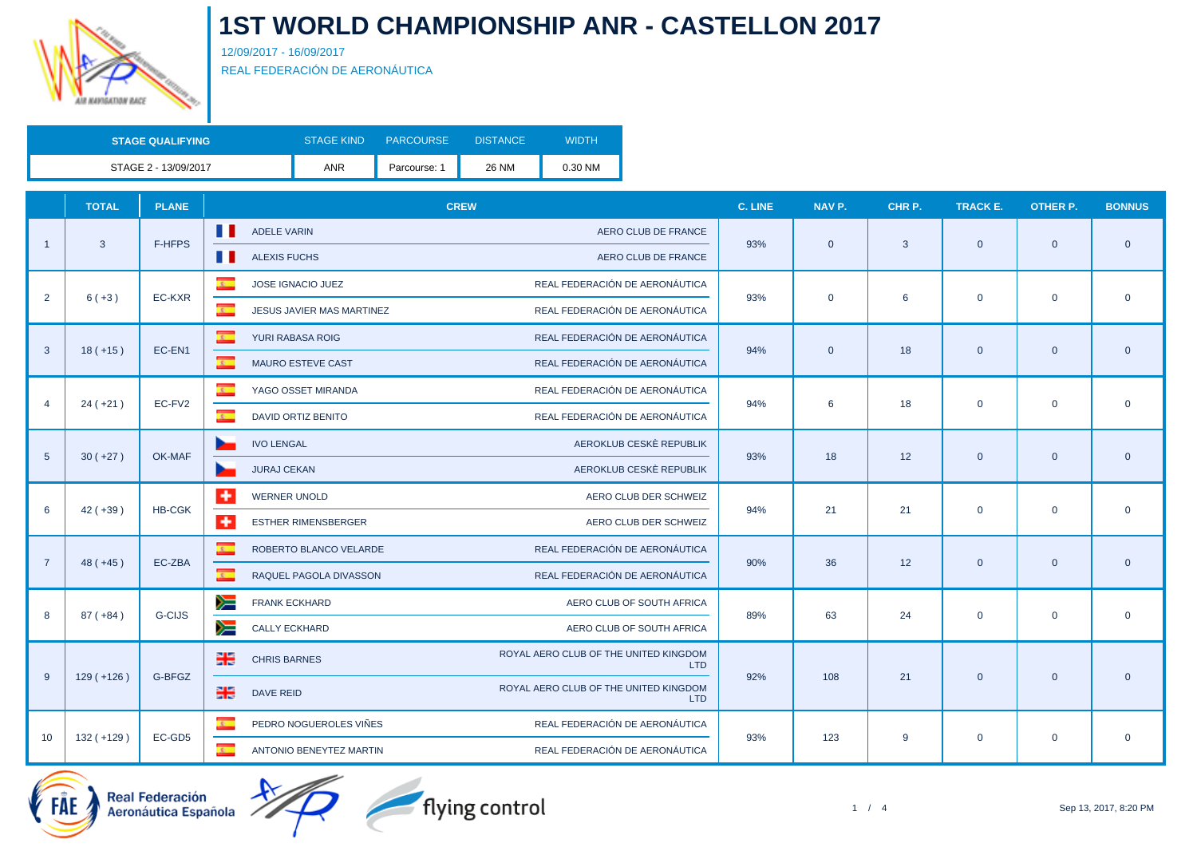

12/09/2017 - 16/09/2017 REAL FEDERACIÓN DE AERONÁUTICA

| <b>STAGE QUALIFYING</b> | <b>STAGE KIND</b> | <b>PARCOURSE</b> | <b>DISTANCE</b> | <b>WIDTH</b> |
|-------------------------|-------------------|------------------|-----------------|--------------|
| STAGE 2 - 13/09/2017    | <b>ANR</b>        | Parcourse:       | 26 NM           | 0.30 NM      |

|                 | <b>TOTAL</b> | <b>PLANE</b>  | <b>CREW</b>                                          |                                                     | C. LINE | NAV P.         | CHR P. | TRACK E.     | <b>OTHER P.</b> | <b>BONNUS</b>  |
|-----------------|--------------|---------------|------------------------------------------------------|-----------------------------------------------------|---------|----------------|--------|--------------|-----------------|----------------|
|                 |              |               | Ш<br><b>ADELE VARIN</b>                              | AERO CLUB DE FRANCE                                 |         |                |        |              |                 |                |
| $\overline{1}$  | $\mathbf{3}$ | F-HFPS        | . .<br><b>ALEXIS FUCHS</b>                           | AERO CLUB DE FRANCE                                 | 93%     | $\overline{0}$ | 3      | $\mathbf{0}$ | $\overline{0}$  | $\overline{0}$ |
|                 |              |               | $\overline{\mathbf{c}}$ .<br>JOSE IGNACIO JUEZ       | REAL FEDERACIÓN DE AERONÁUTICA                      |         |                |        |              |                 |                |
| $\overline{2}$  | $6 (+3)$     | EC-KXR        | $\overline{\mathbf{r}}$<br>JESUS JAVIER MAS MARTINEZ | REAL FEDERACIÓN DE AERONÁUTICA                      | 93%     | $\mathbf 0$    | 6      | $\mathbf 0$  | $\mathbf 0$     | $\mathbf 0$    |
|                 |              |               | $\mathbf{c}$<br>YURI RABASA ROIG                     | REAL FEDERACIÓN DE AERONÁUTICA                      |         |                |        |              |                 |                |
| 3               | $18 (+15)$   | EC-EN1        | $\mathbf{R}$ .<br>MAURO ESTEVE CAST                  | REAL FEDERACIÓN DE AERONÁUTICA                      | 94%     | $\overline{0}$ | 18     | $\mathbf{0}$ | $\overline{0}$  | $\overline{0}$ |
|                 |              |               | $\overline{z}$<br>YAGO OSSET MIRANDA                 | REAL FEDERACIÓN DE AERONÁUTICA                      |         |                |        | $\mathbf 0$  | $\mathbf 0$     |                |
| $\overline{4}$  | $24 (+21)$   | EC-FV2        | $\overline{\mathbf{r}}$<br>DAVID ORTIZ BENITO        | REAL FEDERACIÓN DE AERONÁUTICA                      | 94%     | 6              | 18     |              |                 | $\mathbf 0$    |
|                 |              |               | <b>IVO LENGAL</b>                                    | AEROKLUB CESKÈ REPUBLIK                             | 93%     | 18             |        | $\mathbf{0}$ | $\overline{0}$  |                |
| $5\phantom{.0}$ | $30 (+27)$   | OK-MAF        | <b>JURAJ CEKAN</b>                                   | AEROKLUB CESKÈ REPUBLIK                             |         |                | 12     |              |                 | $\overline{0}$ |
|                 |              |               | $\ddot{}$<br><b>WERNER UNOLD</b>                     | AERO CLUB DER SCHWEIZ                               |         | 21             |        |              | $\mathbf 0$     |                |
| 6               | $42 (+39)$   | <b>HB-CGK</b> | $+$<br><b>ESTHER RIMENSBERGER</b>                    | AERO CLUB DER SCHWEIZ                               | 94%     |                | 21     | $\mathbf 0$  |                 | $\overline{0}$ |
| $\overline{7}$  |              | EC-ZBA        | $\mathbf{c}$<br>ROBERTO BLANCO VELARDE               | REAL FEDERACIÓN DE AERONÁUTICA                      | 90%     |                |        |              |                 |                |
|                 | $48 (+45)$   |               | $\overline{\mathbf{z}}$<br>RAQUEL PAGOLA DIVASSON    | REAL FEDERACIÓN DE AERONÁUTICA                      |         | 36             | 12     | $\mathbf{0}$ | $\mathbf 0$     | $\overline{0}$ |
|                 |              | <b>G-CIJS</b> | y≡<br><b>FRANK ECKHARD</b>                           | AERO CLUB OF SOUTH AFRICA                           |         |                |        |              |                 |                |
| 8               | $87 (+84)$   |               | ➣<br>CALLY ECKHARD                                   | AERO CLUB OF SOUTH AFRICA                           | 89%     | 63             | 24     | $\mathbf 0$  | $\mathbf 0$     | $\overline{0}$ |
|                 |              |               | 噐<br><b>CHRIS BARNES</b>                             | ROYAL AERO CLUB OF THE UNITED KINGDOM<br><b>LTD</b> | 92%     |                |        |              |                 | $\overline{0}$ |
| 9               | $129 (+126)$ | G-BFGZ        | 噐<br><b>DAVE REID</b>                                | ROYAL AERO CLUB OF THE UNITED KINGDOM<br><b>LTD</b> |         | 108            | 21     | $\mathbf 0$  | $\mathbf{0}$    |                |
|                 |              |               | $\overline{\mathbf{c}}$<br>PEDRO NOGUEROLES VIÑES    | REAL FEDERACIÓN DE AERONÁUTICA                      |         |                |        |              |                 |                |
| 10              | $132 (+129)$ | EC-GD5        | $\overline{\mathbf{r}}$<br>ANTONIO BENEYTEZ MARTIN   | REAL FEDERACIÓN DE AERONÁUTICA                      | 93%     | 123            | 9      | $\mathbf 0$  | $\mathbf 0$     | $\mathbf 0$    |

Real Federación<br>Aeronáutica Española



1 / 4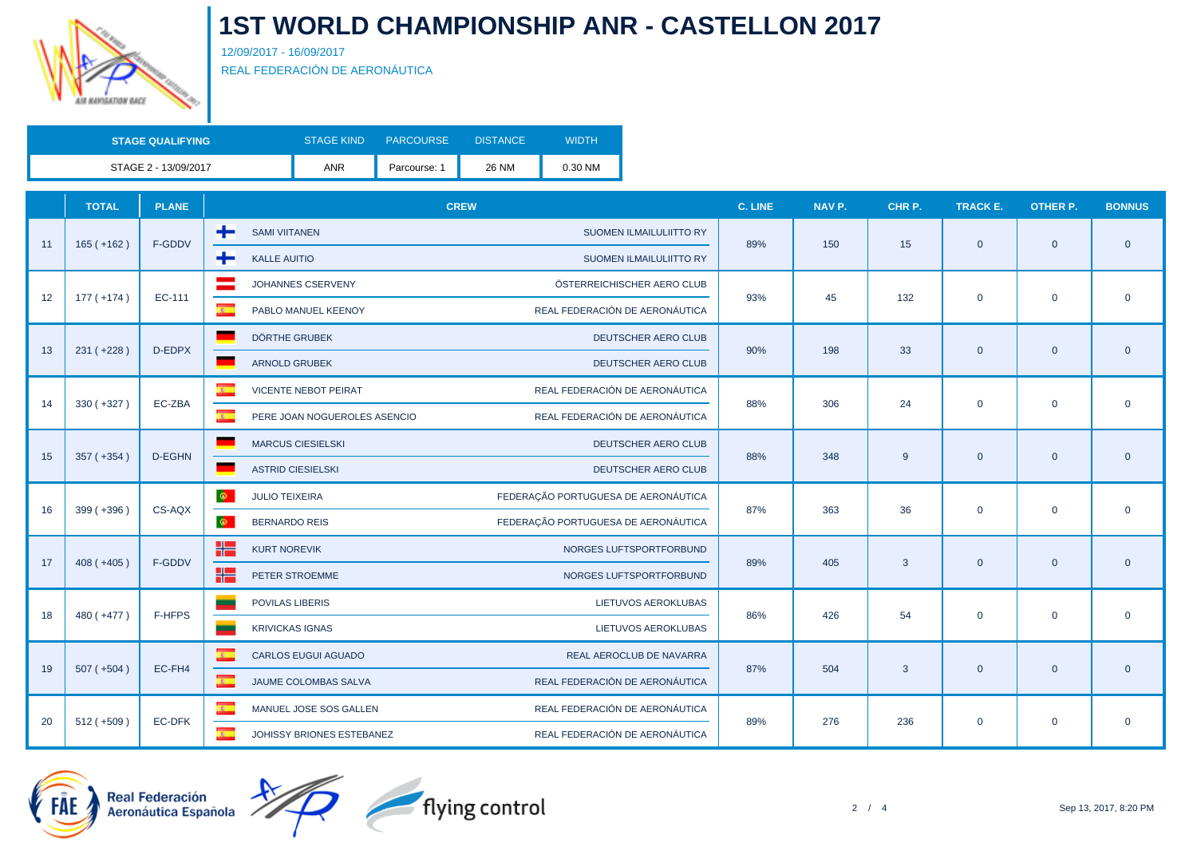

12/09/2017 - 16/09/2017 REAL FEDERACIÓN DE AERONÁUTICA

| <b>STAGE QUALIFYING</b> | <b>STAGE KIND</b> | <b>PARCOURSE</b> | <b>DISTANCE</b> | WIDTH   |
|-------------------------|-------------------|------------------|-----------------|---------|
| STAGE 2 - 13/09/2017    | <b>ANR</b>        | Parcourse:       | <b>26 NM</b>    | 0.30 NM |

|    | <b>TOTAL</b> | <b>PLANE</b> | <b>CREW</b>                                          |                                     | C. LINE                                                                                                                                                                                                                                                                                                                                                                                                                                                                             | NAV P. | CHR P.      | <b>TRACK E.</b> | <b>OTHER P.</b> | <b>BONNUS</b>  |
|----|--------------|--------------|------------------------------------------------------|-------------------------------------|-------------------------------------------------------------------------------------------------------------------------------------------------------------------------------------------------------------------------------------------------------------------------------------------------------------------------------------------------------------------------------------------------------------------------------------------------------------------------------------|--------|-------------|-----------------|-----------------|----------------|
| 11 | $165 (+162)$ | F-GDDV       | ÷<br><b>SAMI VIITANEN</b>                            | SUOMEN ILMAILULIITTO RY             |                                                                                                                                                                                                                                                                                                                                                                                                                                                                                     |        |             |                 |                 | $\overline{0}$ |
|    |              |              | ÷<br><b>KALLE AUITIO</b>                             | <b>SUOMEN ILMAILULIITTO RY</b>      | 150<br>15<br>89%<br>$\mathbf{0}$<br>$\mathbf{0}$<br>45<br>132<br>$\mathbf 0$<br>$\mathbf 0$<br>93%<br>33<br>90%<br>198<br>$\mathbf{0}$<br>$\mathbf{0}$<br>24<br>88%<br>306<br>$\mathbf 0$<br>$\mathbf 0$<br>$\mathbf{0}$<br>348<br>9<br>$\mathbf{0}$<br>88%<br>87%<br>363<br>36<br>$\mathbf 0$<br>$\mathbf{0}$<br>89%<br>405<br>3<br>$\mathbf{0}$<br>$\mathbf{0}$<br>54<br>426<br>$\mathbf 0$<br>86%<br>$\mathbf 0$<br>87%<br>504<br>$\mathbf{3}$<br>$\overline{0}$<br>$\mathbf{0}$ |        |             |                 |                 |                |
|    |              | EC-111       | JOHANNES CSERVENY                                    | ÖSTERREICHISCHER AERO CLUB          |                                                                                                                                                                                                                                                                                                                                                                                                                                                                                     |        |             |                 |                 |                |
| 12 | $177 (+174)$ |              | $\overline{\mathbf{r}}$<br>PABLO MANUEL KEENOY       | REAL FEDERACIÓN DE AERONÁUTICA      |                                                                                                                                                                                                                                                                                                                                                                                                                                                                                     |        |             |                 |                 | $\overline{0}$ |
|    |              |              | <b>DÖRTHE GRUBEK</b>                                 | DEUTSCHER AERO CLUB                 |                                                                                                                                                                                                                                                                                                                                                                                                                                                                                     |        |             |                 |                 |                |
| 13 | $231 (+228)$ | D-EDPX       | <b>ARNOLD GRUBEK</b>                                 | DEUTSCHER AERO CLUB                 |                                                                                                                                                                                                                                                                                                                                                                                                                                                                                     |        |             |                 |                 | $\overline{0}$ |
|    |              |              | $\overline{a}$<br><b>VICENTE NEBOT PEIRAT</b>        | REAL FEDERACIÓN DE AERONÁUTICA      |                                                                                                                                                                                                                                                                                                                                                                                                                                                                                     |        |             |                 |                 |                |
| 14 | $330 (+327)$ | EC-ZBA       | $\overline{z}$<br>PERE JOAN NOGUEROLES ASENCIO       | REAL FEDERACIÓN DE AERONÁUTICA      |                                                                                                                                                                                                                                                                                                                                                                                                                                                                                     |        |             |                 |                 | $\mathbf 0$    |
|    |              |              | <b>MARCUS CIESIELSKI</b>                             | DEUTSCHER AERO CLUB                 |                                                                                                                                                                                                                                                                                                                                                                                                                                                                                     |        |             |                 |                 |                |
| 15 | $357 (+354)$ | D-EGHN       | <b>ASTRID CIESIELSKI</b>                             | DEUTSCHER AERO CLUB                 |                                                                                                                                                                                                                                                                                                                                                                                                                                                                                     |        |             |                 |                 | $\overline{0}$ |
|    |              |              | $\Phi^-$<br><b>JULIO TEIXEIRA</b>                    | FEDERAÇÃO PORTUGUESA DE AERONÁUTICA |                                                                                                                                                                                                                                                                                                                                                                                                                                                                                     |        |             |                 |                 |                |
| 16 | $399 (+396)$ | CS-AQX       | $\bullet$<br><b>BERNARDO REIS</b>                    | FEDERAÇÃO PORTUGUESA DE AERONÁUTICA |                                                                                                                                                                                                                                                                                                                                                                                                                                                                                     |        | $\mathbf 0$ |                 |                 |                |
|    |              |              | X٣<br><b>KURT NOREVIK</b>                            | NORGES LUFTSPORTFORBUND             |                                                                                                                                                                                                                                                                                                                                                                                                                                                                                     |        |             |                 | $\mathbf 0$     |                |
| 17 | $408 (+405)$ | F-GDDV       | ۲E<br>PETER STROEMME                                 | NORGES LUFTSPORTFORBUND             |                                                                                                                                                                                                                                                                                                                                                                                                                                                                                     |        |             |                 |                 | $\overline{0}$ |
|    |              |              | <b>POVILAS LIBERIS</b>                               | LIETUVOS AEROKLUBAS                 |                                                                                                                                                                                                                                                                                                                                                                                                                                                                                     |        |             |                 |                 |                |
| 18 | 480 (+477)   | F-HFPS       | <b>KRIVICKAS IGNAS</b>                               | LIETUVOS AEROKLUBAS                 |                                                                                                                                                                                                                                                                                                                                                                                                                                                                                     |        |             |                 |                 | $\mathbf 0$    |
|    |              |              | $\sigma$<br><b>CARLOS EUGUI AGUADO</b>               | REAL AEROCLUB DE NAVARRA            |                                                                                                                                                                                                                                                                                                                                                                                                                                                                                     |        |             |                 |                 |                |
| 19 | $507 (+504)$ | EC-FH4       | $\overline{\mathbf{z}}$<br>JAUME COLOMBAS SALVA      | REAL FEDERACIÓN DE AERONÁUTICA      |                                                                                                                                                                                                                                                                                                                                                                                                                                                                                     |        |             |                 |                 | $\overline{0}$ |
|    |              |              | $\overline{\mathbf{c}}$<br>MANUEL JOSE SOS GALLEN    | REAL FEDERACIÓN DE AERONÁUTICA      |                                                                                                                                                                                                                                                                                                                                                                                                                                                                                     |        |             |                 |                 |                |
| 20 | $512 (+509)$ | EC-DFK       | $\overline{\mathbf{r}}$<br>JOHISSY BRIONES ESTEBANEZ | REAL FEDERACIÓN DE AERONÁUTICA      | 89%                                                                                                                                                                                                                                                                                                                                                                                                                                                                                 | 276    | 236         | $\mathbf 0$     |                 | $\overline{0}$ |



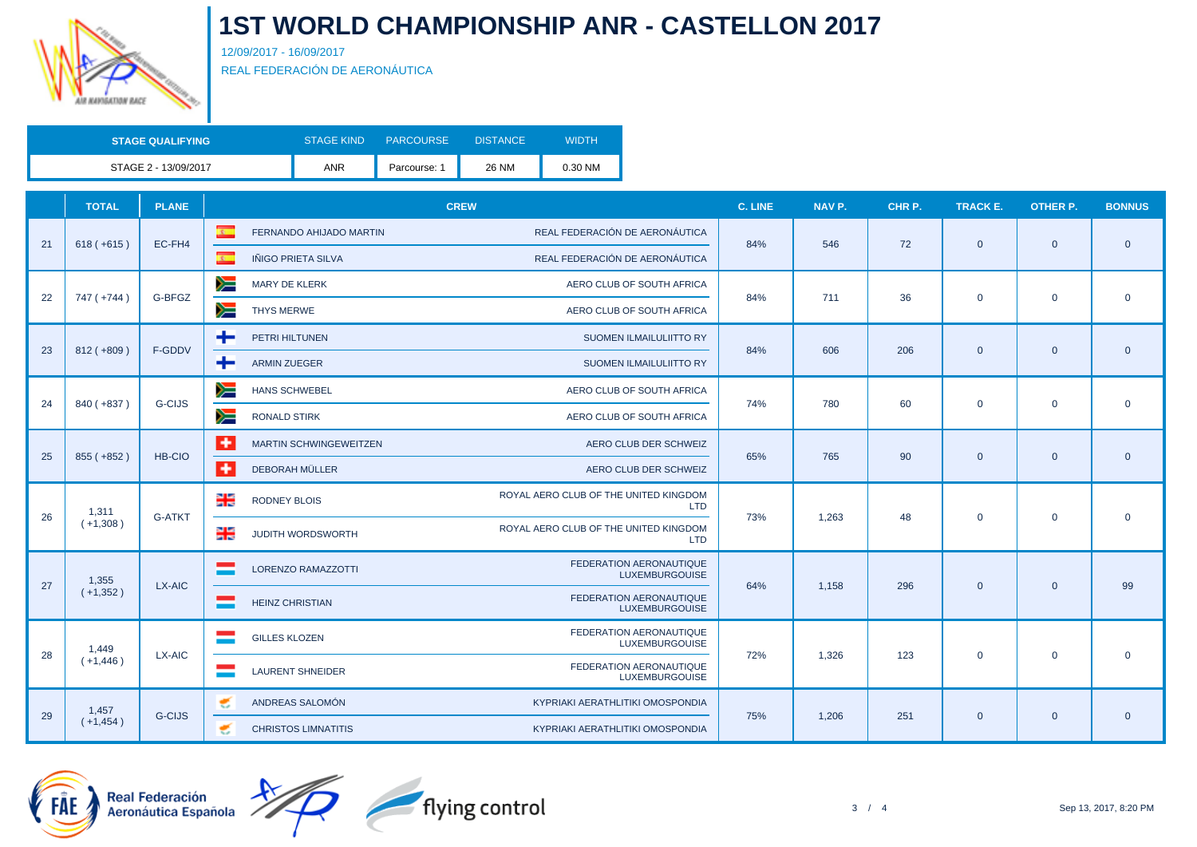

12/09/2017 - 16/09/2017 REAL FEDERACIÓN DE AERONÁUTICA

| <b>STAGE QUALIFYING</b> | <b>STAGE KIND</b> | <b>PARCOURSE</b> | <b>DISTANCE</b> | WIDTH   |
|-------------------------|-------------------|------------------|-----------------|---------|
| STAGE 2 - 13/09/2017    | ANR               | Parcourse:       | 26 NM           | 0.30 NM |

|    | <b>TOTAL</b> | <b>PLANE</b>  | <b>CREW</b>                                                                          | <b>C. LINE</b> | NAV P.           | CHR P. | TRACK E.                                                                                                                                                                                                                                                                                      | <b>OTHER P.</b> | <b>BONNUS</b>  |
|----|--------------|---------------|--------------------------------------------------------------------------------------|----------------|------------------|--------|-----------------------------------------------------------------------------------------------------------------------------------------------------------------------------------------------------------------------------------------------------------------------------------------------|-----------------|----------------|
| 21 |              |               | REAL FEDERACIÓN DE AERONÁUTICA<br>$\mathcal{R}^+$<br>FERNANDO AHIJADO MARTIN         | 84%            | 546              | 72     | $\mathbf{0}$<br>$\mathbf{0}$<br>$\mathbf 0$<br>$\mathbf 0$<br>$\mathbf{0}$<br>$\overline{0}$<br>$\mathbf 0$<br>$\mathbf 0$<br>$\mathbf{0}$<br>$\overline{0}$<br>$\mathbf 0$<br>$\mathbf{0}$<br>$\mathbf{0}$<br>$\overline{0}$<br>$\mathbf 0$<br>$\mathbf 0$<br>$\mathbf{0}$<br>$\overline{0}$ |                 | $\overline{0}$ |
|    | $618 (+615)$ | EC-FH4        | $\overline{\mathbf{c}}$ .<br>REAL FEDERACIÓN DE AERONÁUTICA<br>IÑIGO PRIETA SILVA    |                |                  |        |                                                                                                                                                                                                                                                                                               |                 |                |
|    | 747 (+744)   | G-BFGZ        | ➣<br><b>MARY DE KLERK</b><br>AERO CLUB OF SOUTH AFRICA                               | 84%            | 711              | 36     |                                                                                                                                                                                                                                                                                               |                 | $\mathbf 0$    |
| 22 |              |               | y≡<br><b>THYS MERWE</b><br>AERO CLUB OF SOUTH AFRICA                                 |                |                  |        |                                                                                                                                                                                                                                                                                               |                 |                |
| 23 |              | F-GDDV        | PETRI HILTUNEN<br>÷<br>SUOMEN ILMAILULIITTO RY                                       | 84%            |                  | 206    |                                                                                                                                                                                                                                                                                               |                 |                |
|    | $812 (+809)$ |               | ÷<br><b>ARMIN ZUEGER</b><br>SUOMEN ILMAILULIITTO RY                                  |                | 606              |        |                                                                                                                                                                                                                                                                                               |                 | $\overline{0}$ |
| 24 | 840 (+837)   | <b>G-CIJS</b> | ≽≡<br><b>HANS SCHWEBEL</b><br>AERO CLUB OF SOUTH AFRICA                              |                | 74%<br>780<br>60 |        |                                                                                                                                                                                                                                                                                               |                 | $\mathbf 0$    |
|    |              |               | y≡<br><b>RONALD STIRK</b><br>AERO CLUB OF SOUTH AFRICA                               |                |                  |        |                                                                                                                                                                                                                                                                                               |                 |                |
| 25 | 855 (+852)   | HB-CIO        | ۰<br><b>MARTIN SCHWINGEWEITZEN</b><br>AERO CLUB DER SCHWEIZ                          | 65%            | 765              | 90     |                                                                                                                                                                                                                                                                                               |                 | $\overline{0}$ |
|    |              |               | ۰<br>DEBORAH MÜLLER<br>AERO CLUB DER SCHWEIZ                                         |                |                  |        |                                                                                                                                                                                                                                                                                               |                 |                |
| 26 | 1,311        | <b>G-ATKT</b> | ROYAL AERO CLUB OF THE UNITED KINGDOM<br>레<br><b>RODNEY BLOIS</b><br>LTD.            | 73%            | 1.263            | 48     |                                                                                                                                                                                                                                                                                               |                 |                |
|    | $(+1,308)$   |               | ROYAL AERO CLUB OF THE UNITED KINGDOM<br>믦<br><b>JUDITH WORDSWORTH</b><br><b>LTD</b> |                |                  |        |                                                                                                                                                                                                                                                                                               |                 | $\mathbf 0$    |
| 27 | 1,355        | LX-AIC        | <b>FEDERATION AERONAUTIQUE</b><br><b>LORENZO RAMAZZOTTI</b><br><b>LUXEMBURGOUISE</b> | 64%            | 1,158            | 296    |                                                                                                                                                                                                                                                                                               |                 |                |
|    | $(+1,352)$   |               | FEDERATION AERONAUTIQUE<br><b>HEINZ CHRISTIAN</b><br><b>LUXEMBURGOUISE</b>           |                |                  |        |                                                                                                                                                                                                                                                                                               |                 | 99             |
| 28 | 1,449        | LX-AIC        | <b>FEDERATION AERONAUTIQUE</b><br><b>GILLES KLOZEN</b><br><b>LUXEMBURGOUISE</b>      | 72%            | 1.326            | 123    |                                                                                                                                                                                                                                                                                               |                 | $\overline{0}$ |
|    | $(+1, 446)$  |               | FEDERATION AERONAUTIQUE<br><b>LAURENT SHNEIDER</b><br><b>LUXEMBURGOUISE</b>          |                |                  |        |                                                                                                                                                                                                                                                                                               |                 |                |
|    | 1,457        | <b>G-CIJS</b> | ANDREAS SALOMÓN<br>KYPRIAKI AERATHLITIKI OMOSPONDIA<br>€                             | 75%            |                  |        |                                                                                                                                                                                                                                                                                               |                 |                |
| 29 | $(+1, 454)$  |               | <b>CHRISTOS LIMNATITIS</b><br>KYPRIAKI AERATHLITIKI OMOSPONDIA<br>€                  |                | 1,206            | 251    |                                                                                                                                                                                                                                                                                               |                 | $\overline{0}$ |